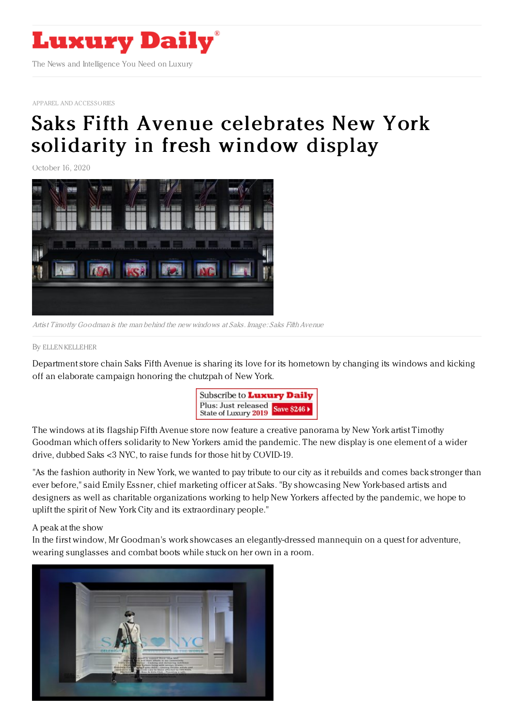

APPAREL AND [ACCESSORIES](https://www.luxurydaily.com/category/sectors/apparel-and-accessories/)

## Saks Fifth Avenue [celebrates](https://www.luxurydaily.com/saks-fifth-avenue-revives-covid-19-theme-in-fresh-window-display/) New York solidarity in fresh window display

October 16, 2020



Artist Timothy Goodman is the man behind the new windows at Saks. Image: Saks Fifth Avenue

## By ELLEN [KELLEHER](file:///author/ellen-kelleher)

Department store chain Saks Fifth Avenue is sharing its love for its hometown by changing its windows and kicking off an elaborate campaign honoring the chutzpah of New York.



The windows at its flagship Fifth Avenue store now feature a creative panorama by New York artist Timothy Goodman which offers solidarity to New Yorkers amid the pandemic. The new display is one element of a wider drive, dubbed Saks <3 NYC, to raise funds for those hit by COVID-19.

"As the fashion authority in New York, we wanted to pay tribute to our city as it rebuilds and comes back stronger than ever before," said Emily Essner, chief marketing officer at Saks. "By showcasing New York-based artists and designers as well as charitable organizations working to help New Yorkers affected by the pandemic, we hope to uplift the spirit of New York City and its extraordinary people."

## A peak at the show

In the first window, Mr Goodman's work showcases an elegantly-dressed mannequin on a quest for adventure, wearing sunglasses and combat boots while stuck on her own in a room.